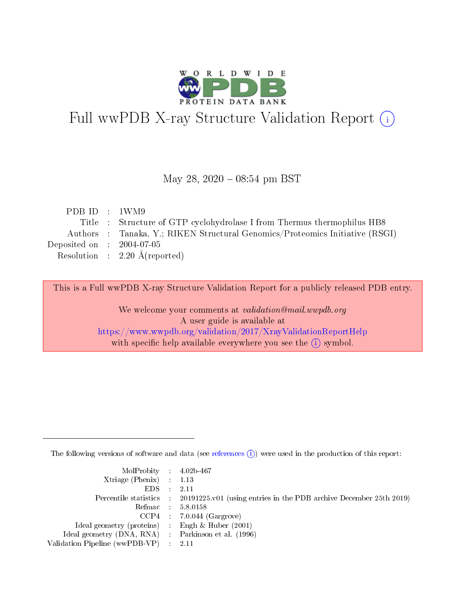

# Full wwPDB X-ray Structure Validation Report (i)

#### May 28, 2020 - 08:54 pm BST

| PDB ID : $1$ WM9            |                                                                              |
|-----------------------------|------------------------------------------------------------------------------|
|                             | Title : Structure of GTP cyclohydrolase I from Thermus thermophilus HB8      |
|                             | Authors : Tanaka, Y.; RIKEN Structural Genomics/Proteomics Initiative (RSGI) |
| Deposited on : $2004-07-05$ |                                                                              |
|                             | Resolution : $2.20 \text{ Å}$ (reported)                                     |
|                             |                                                                              |

This is a Full wwPDB X-ray Structure Validation Report for a publicly released PDB entry.

We welcome your comments at validation@mail.wwpdb.org A user guide is available at <https://www.wwpdb.org/validation/2017/XrayValidationReportHelp> with specific help available everywhere you see the  $(i)$  symbol.

The following versions of software and data (see [references](https://www.wwpdb.org/validation/2017/XrayValidationReportHelp#references)  $(i)$ ) were used in the production of this report:

| MolProbity : $4.02b-467$                            |                                                                                            |
|-----------------------------------------------------|--------------------------------------------------------------------------------------------|
| Xtriage (Phenix) $: 1.13$                           |                                                                                            |
| EDS -                                               | 2.11                                                                                       |
|                                                     | Percentile statistics : 20191225.v01 (using entries in the PDB archive December 25th 2019) |
|                                                     | Refmac 58.0158                                                                             |
|                                                     | $CCP4$ 7.0.044 (Gargrove)                                                                  |
| Ideal geometry (proteins) : Engh $\&$ Huber (2001)  |                                                                                            |
| Ideal geometry (DNA, RNA) : Parkinson et al. (1996) |                                                                                            |
| Validation Pipeline (wwPDB-VP)                      | -2.11                                                                                      |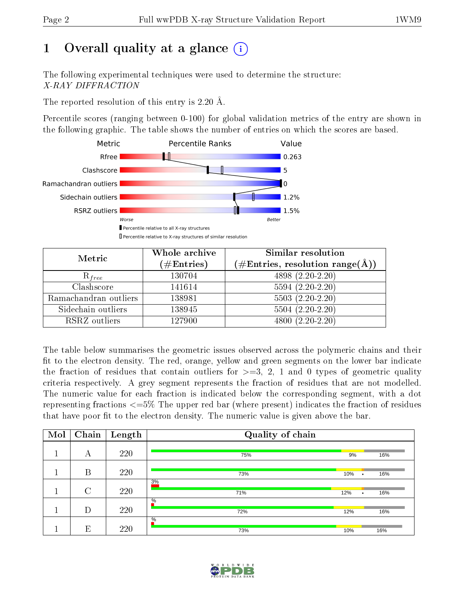# 1 [O](https://www.wwpdb.org/validation/2017/XrayValidationReportHelp#overall_quality)verall quality at a glance  $(i)$

The following experimental techniques were used to determine the structure: X-RAY DIFFRACTION

The reported resolution of this entry is 2.20 Å.

Percentile scores (ranging between 0-100) for global validation metrics of the entry are shown in the following graphic. The table shows the number of entries on which the scores are based.



| Metric                | Whole archive<br>$(\#\mathrm{Entries})$ | Similar resolution<br>$(\#\text{Entries}, \text{resolution range}(\text{\AA}))$ |  |  |
|-----------------------|-----------------------------------------|---------------------------------------------------------------------------------|--|--|
| $R_{free}$            | 130704                                  | 4898 (2.20-2.20)                                                                |  |  |
| Clashscore            | 141614                                  | $5594(2.20-2.20)$                                                               |  |  |
| Ramachandran outliers | 138981                                  | $5503(2.20-2.20)$                                                               |  |  |
| Sidechain outliers    | 138945                                  | $5504(2.20-2.20)$                                                               |  |  |
| RSRZ outliers         | 127900                                  | $4800(2.20-2.20)$                                                               |  |  |

The table below summarises the geometric issues observed across the polymeric chains and their fit to the electron density. The red, orange, yellow and green segments on the lower bar indicate the fraction of residues that contain outliers for  $>=3, 2, 1$  and 0 types of geometric quality criteria respectively. A grey segment represents the fraction of residues that are not modelled. The numeric value for each fraction is indicated below the corresponding segment, with a dot representing fractions  $\epsilon=5\%$  The upper red bar (where present) indicates the fraction of residues that have poor fit to the electron density. The numeric value is given above the bar.

| Mol | Chain  | Length | Quality of chain     |     |   |     |  |  |
|-----|--------|--------|----------------------|-----|---|-----|--|--|
|     | А      | 220    | 75%                  | 9%  |   | 16% |  |  |
|     | B      | 220    | 73%                  | 10% | ٠ | 16% |  |  |
|     | $\cap$ | 220    | 3%<br>71%            | 12% | ٠ | 16% |  |  |
|     | D      | 220    | $\frac{0}{6}$<br>72% | 12% |   | 16% |  |  |
|     | E      | 220    | $\%$<br>73%          | 10% |   | 16% |  |  |

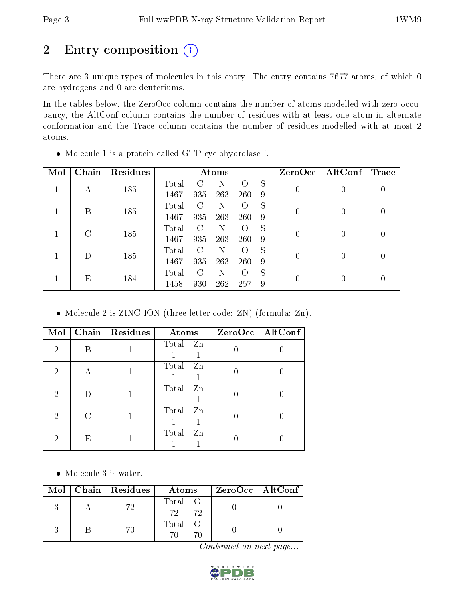# 2 Entry composition (i)

There are 3 unique types of molecules in this entry. The entry contains 7677 atoms, of which 0 are hydrogens and 0 are deuteriums.

In the tables below, the ZeroOcc column contains the number of atoms modelled with zero occupancy, the AltConf column contains the number of residues with at least one atom in alternate conformation and the Trace column contains the number of residues modelled with at most 2 atoms.

| Mol | Chain | Residues | Atoms |               |     |                    |   | ZeroOcc        | $\mathrm{AltConf}$ | <b>Trace</b> |
|-----|-------|----------|-------|---------------|-----|--------------------|---|----------------|--------------------|--------------|
|     |       | 185      | Total |               | N   | $\left( \right)$   | S | $\overline{0}$ |                    |              |
|     | А     |          | 1467  | 935           | 263 | <b>260</b>         | 9 |                |                    |              |
|     | В     | 185      | Total | $\mathcal{C}$ | N   | $\left( \right)$   | S | $\overline{0}$ |                    |              |
|     |       |          | 1467  | 935           | 263 | <b>260</b>         | 9 |                |                    |              |
|     | C     | 185      | Total | €             | N   | $\left( \right)$   | S | 0              |                    |              |
|     |       |          | 1467  | 935           | 263 | 260                | 9 |                |                    |              |
|     |       | 185      | Total | C             | N   | $\left( \ \right)$ | S |                |                    |              |
|     |       |          | 1467  | 935           | 263 | 260                | 9 | $\theta$       |                    |              |
|     | Е     | 184      | Total | $\mathcal{C}$ | N   | $\left( \right)$   | S | 0              |                    |              |
|     |       | 1458     | 930   | 262           | 257 | 9                  |   |                |                    |              |

Molecule 1 is a protein called GTP cyclohydrolase I.

Molecule 2 is ZINC ION (three-letter code: ZN) (formula: Zn).

| Mol           | Chain | Residues | Atoms       | ZeroOcc   AltConf |
|---------------|-------|----------|-------------|-------------------|
| $\mathcal{D}$ | R     |          | Total Zn    |                   |
| 2             | А     |          | Total Zn    |                   |
| 2             |       |          | Total Zn    |                   |
| 2             |       |          | Total<br>Zn |                   |
| 2             | E     |          | Total<br>Zn |                   |

• Molecule 3 is water.

|  | $Mol$   Chain   Residues | Atoms            | $ZeroOcc \   \ AltConf \  $ |
|--|--------------------------|------------------|-----------------------------|
|  | 79                       | Total O<br>72 72 |                             |
|  |                          | Total O          |                             |

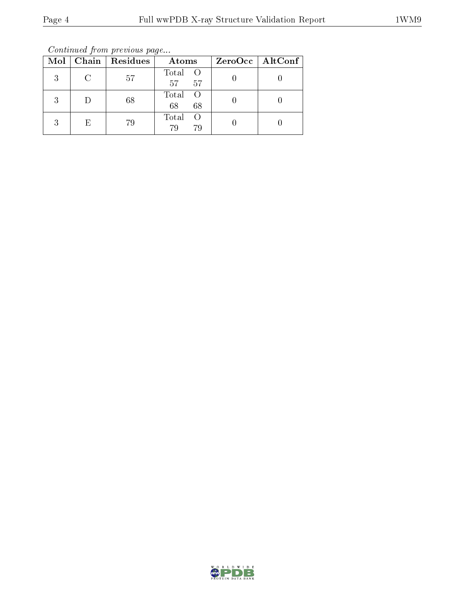Continued from previous page...

|   |   | Mol   Chain   Residues | Atoms                           | ZeroOcc   AltConf |
|---|---|------------------------|---------------------------------|-------------------|
| 3 |   | 57                     | Total O<br>57<br>57             |                   |
| 3 |   | 68                     | Total<br>$\bigcirc$<br>68<br>68 |                   |
| 3 | E | 79                     | Total<br>79<br>79               |                   |

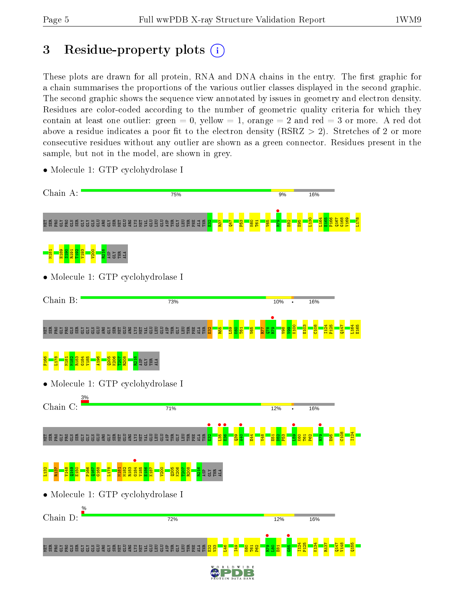# 3 Residue-property plots  $(i)$

These plots are drawn for all protein, RNA and DNA chains in the entry. The first graphic for a chain summarises the proportions of the various outlier classes displayed in the second graphic. The second graphic shows the sequence view annotated by issues in geometry and electron density. Residues are color-coded according to the number of geometric quality criteria for which they contain at least one outlier: green  $= 0$ , yellow  $= 1$ , orange  $= 2$  and red  $= 3$  or more. A red dot above a residue indicates a poor fit to the electron density (RSRZ  $> 2$ ). Stretches of 2 or more consecutive residues without any outlier are shown as a green connector. Residues present in the sample, but not in the model, are shown in grey.



• Molecule 1: GTP cyclohydrolase I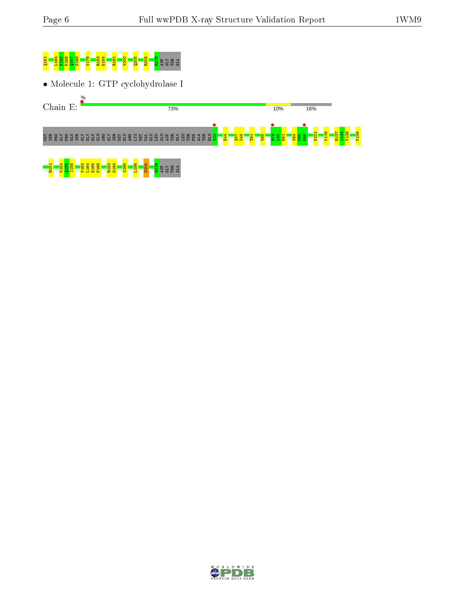

• Molecule 1: GTP cyclohydrolase I



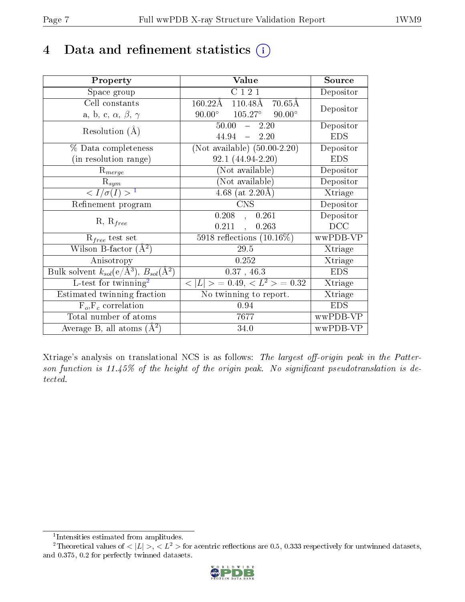# 4 Data and refinement statistics  $(i)$

| Property                                                   | Value                                                         | Source     |
|------------------------------------------------------------|---------------------------------------------------------------|------------|
| Space group                                                | C121                                                          | Depositor  |
| Cell constants                                             | $160.22\text{\AA}$<br>$110.48\text{\AA}$<br>$70.65\text{\AA}$ | Depositor  |
| a, b, c, $\alpha$ , $\beta$ , $\gamma$                     | $105.27^\circ$<br>$90.00^\circ$<br>$90.00^\circ$              |            |
| Resolution $(A)$                                           | 50.00<br>2.20                                                 | Depositor  |
|                                                            | 44.94<br>$-2.20$                                              | <b>EDS</b> |
| $\%$ Data completeness                                     | (Not available) $(50.00-2.20)$                                | Depositor  |
| (in resolution range)                                      | $92.1(44.94-2.20)$                                            | <b>EDS</b> |
| $R_{merge}$                                                | (Not available)                                               | Depositor  |
| $\mathrm{R}_{sym}$                                         | $(Not\ avariable)$                                            | Depositor  |
| $\langle I/\sigma(I) \rangle^{-1}$                         | 4.68 (at $2.20\text{\AA}$ )                                   | Xtriage    |
| Refinement program                                         | <b>CNS</b>                                                    | Depositor  |
|                                                            | 0.208<br>0.261<br>$\mathcal{L}$                               | Depositor  |
| $R, R_{free}$                                              | 0.211<br>0.263<br>$\sim$                                      | DCC        |
| $R_{free}$ test set                                        | 5918 reflections $(10.16\%)$                                  | wwPDB-VP   |
| Wilson B-factor $(A^2)$                                    | $29.5\,$                                                      | Xtriage    |
| Anisotropy                                                 | 0.252                                                         | Xtriage    |
| Bulk solvent $k_{sol}$ (e/Å <sup>3</sup> ), $B_{sol}(A^2)$ | 0.37, 46.3                                                    | <b>EDS</b> |
| L-test for $\mathrm{twinning}^2$                           | $< L >$ = 0.49, $< L2$ > = 0.32                               | Xtriage    |
| Estimated twinning fraction                                | No twinning to report.                                        | Xtriage    |
| $\overline{F_o}, \overline{F_c}$ correlation               | 0.94                                                          | <b>EDS</b> |
| Total number of atoms                                      | 7677                                                          | wwPDB-VP   |
| Average B, all atoms $(A^2)$                               | 34.0                                                          | wwPDB-VP   |

Xtriage's analysis on translational NCS is as follows: The largest off-origin peak in the Patterson function is  $11.45\%$  of the height of the origin peak. No significant pseudotranslation is detected.

<sup>&</sup>lt;sup>2</sup>Theoretical values of  $\langle |L| \rangle$ ,  $\langle L^2 \rangle$  for acentric reflections are 0.5, 0.333 respectively for untwinned datasets, and 0.375, 0.2 for perfectly twinned datasets.



<span id="page-6-1"></span><span id="page-6-0"></span><sup>1</sup> Intensities estimated from amplitudes.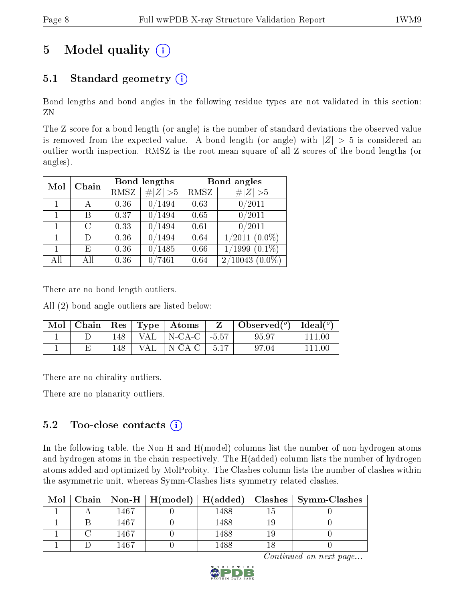# 5 Model quality  $(i)$

# 5.1 Standard geometry  $(i)$

Bond lengths and bond angles in the following residue types are not validated in this section: ZN

The Z score for a bond length (or angle) is the number of standard deviations the observed value is removed from the expected value. A bond length (or angle) with  $|Z| > 5$  is considered an outlier worth inspection. RMSZ is the root-mean-square of all Z scores of the bond lengths (or angles).

| Mol          | Chain |      | Bond lengths | Bond angles |                     |  |
|--------------|-------|------|--------------|-------------|---------------------|--|
|              |       | RMSZ | # $ Z >5$    | RMSZ        | # $ Z >5$           |  |
|              | А     | 0.36 | 0/1494       | 0.63        | 0/2011              |  |
| $\mathbf{1}$ | В     | 0.37 | 0/1494       | 0.65        | 0/2011              |  |
| $\mathbf{1}$ | C     | 0.33 | 0/1494       | 0.61        | 0/2011              |  |
| $\mathbf{1}$ | D     | 0.36 | 0/1494       | 0.64        | $1/2011(0.0\%)$     |  |
| 1            | Е     | 0.36 | 0/1485       | 0.66        | $1/1999$ $(0.1\%)$  |  |
| All          | All   | 0.36 | /7461        | 0.64        | $2/10043$ $(0.0\%)$ |  |

There are no bond length outliers.

All (2) bond angle outliers are listed below:

| $\mid$ Mol |     |      | $\vert$ Chain $\vert$ Res $\vert$ Type $\vert$ Atoms | $\Box$ Observed $\left( \begin{array}{c} o \\ \end{array} \right)$ $\Box$ Ideal $\left( \begin{array}{c} o \\ \end{array} \right)$ |        |
|------------|-----|------|------------------------------------------------------|------------------------------------------------------------------------------------------------------------------------------------|--------|
|            | 148 |      | VAL   N-CA-C $\vert$ -5.57                           | 95.97                                                                                                                              | 111.00 |
|            | 148 | VAL. | $\vert$ N-CA-C $\vert$ -5.17                         | 97.04                                                                                                                              | 111 M  |

There are no chirality outliers.

There are no planarity outliers.

### $5.2$  Too-close contacts  $(i)$

In the following table, the Non-H and H(model) columns list the number of non-hydrogen atoms and hydrogen atoms in the chain respectively. The H(added) column lists the number of hydrogen atoms added and optimized by MolProbity. The Clashes column lists the number of clashes within the asymmetric unit, whereas Symm-Clashes lists symmetry related clashes.

| Mol |             |      | Chain   Non-H   H(model)   H(added)   Clashes   Symm-Clashes |
|-----|-------------|------|--------------------------------------------------------------|
|     | 467         | 1488 |                                                              |
|     | 1467        | 1488 |                                                              |
|     | 467         | 1488 |                                                              |
|     | $\sqrt{67}$ | 488  |                                                              |

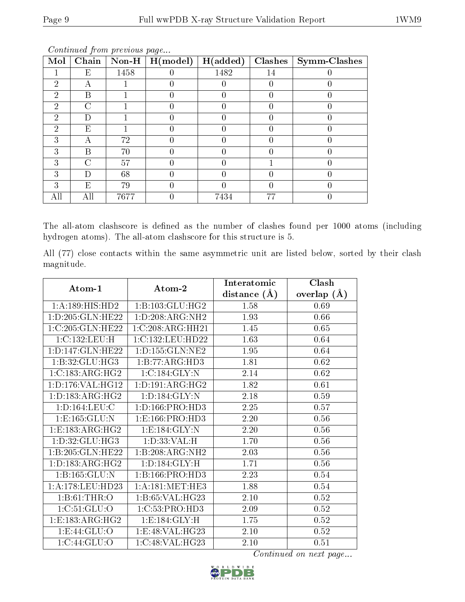| Mol                         | Chain  | $\bf Non-H$ | H (model) | H(added) | Clashes | $\mid$ Symm-Clashes |
|-----------------------------|--------|-------------|-----------|----------|---------|---------------------|
|                             | E      | 1458        |           | 1482     | 14      |                     |
| $\mathcal{D}_{\mathcal{A}}$ |        |             |           |          |         |                     |
| 2                           | В      |             |           |          |         |                     |
| $\mathfrak{D}$              | $\cap$ |             |           |          |         |                     |
| 2                           | ן ו    |             |           |          |         |                     |
| 2                           | Е      |             |           |          |         |                     |
| 3                           | А      | 72          |           |          |         |                     |
| 3                           | В      | 70          |           |          |         |                     |
| 3                           | C      | 57          |           |          |         |                     |
| 3                           | ו ו    | 68          |           |          |         |                     |
| 3                           | Е      | 79          |           |          |         |                     |
|                             | Аll    | 7677        |           | 7434     | 77      |                     |

Continued from previous page...

The all-atom clashscore is defined as the number of clashes found per 1000 atoms (including hydrogen atoms). The all-atom clashscore for this structure is 5.

All (77) close contacts within the same asymmetric unit are listed below, sorted by their clash magnitude.

| $Atom-1$            | Atom-2              | Interatomic    | Clash          |
|---------------------|---------------------|----------------|----------------|
|                     |                     | distance $(A)$ | (A)<br>overlap |
| 1:A:189:HIS:HD2     | 1:B:103:GLU:HG2     | 1.58           | 0.69           |
| 1:D:205:GLN:HE22    | 1: D:208: ARG: NH2  | 1.93           | 0.66           |
| 1:C:205:GLN:HE22    | 1:C:208:ARG:HH21    | 1.45           | 0.65           |
| 1:C:132:LEU:H       | 1:C:132:LEU:HD22    | 1.63           | 0.64           |
| 1:D:147:GLN:HE22    | 1: D: 155: GLN: NE2 | 1.95           | 0.64           |
| 1:B:32:GLU:HG3      | 1:B:77:ARG:HD3      | 1.81           | 0.62           |
| 1:C:183:ARG:HG2     | 1:C:184:GLY:N       | 2.14           | 0.62           |
| 1: D: 176: VAL:HG12 | 1: D: 191: ARG: HG2 | 1.82           | 0.61           |
| 1: D: 183: ARG: HG2 | 1: D: 184: GLY: N   | 2.18           | 0.59           |
| 1: D: 164: LEU: C   | 1: D: 166: PRO: HD3 | 2.25           | 0.57           |
| 1: E: 165: GLU: N   | 1: E: 166: PRO: HD3 | 2.20           | 0.56           |
| 1:E:183:ARG:HG2     | 1:E:184:GLY:N       | 2.20           | 0.56           |
| 1: D: 32: GLU: HG3  | 1: D: 33: VAL:H     | 1.70           | 0.56           |
| 1:B:205:GLN:HE22    | 1:B:208:ARG:NH2     | 2.03           | 0.56           |
| 1: D: 183: ARG: HG2 | 1: D: 184: GLY: H   | 1.71           | 0.56           |
| 1: B: 165: GLU: N   | 1: B: 166: PRO: HD3 | 2.23           | 0.54           |
| 1:A:178:LEU:HD23    | 1: A:181: MET:HE3   | 1.88           | 0.54           |
| 1: B: 61: THR: O    | 1: B:65: VAL:HG23   | 2.10           | 0.52           |
| 1:C:51:GLU:O        | 1:C:53:PRO:HD3      | 2.09           | 0.52           |
| 1:E:183:ARG:HG2     | 1:E:184:GLY:H       | 1.75           | 0.52           |
| 1: E:44: GLU:O      | 1:E:48:VAL:H G23    | 2.10           | 0.52           |
| 1:C:44:GLU:O        | 1:C:48:VAL:HG23     | 2.10           | 0.51           |

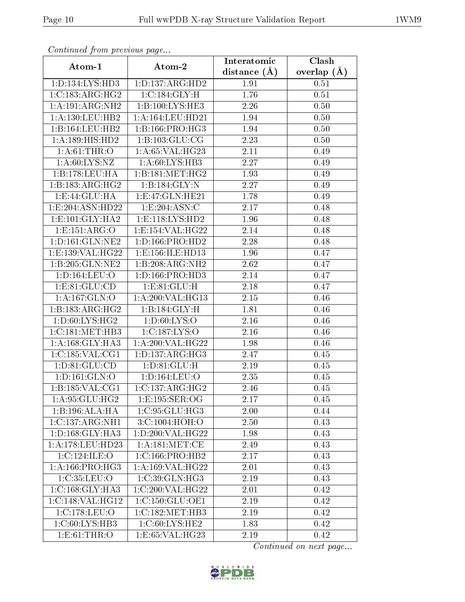| Continued from previous page |                               | Interatomic       | Clash         |  |
|------------------------------|-------------------------------|-------------------|---------------|--|
| Atom-1                       | Atom-2                        | distance $(A)$    | overlap $(A)$ |  |
| 1: D: 134: LYS: HD3          | 1: D: 137: ARG: HD2           | 1.91              | 0.51          |  |
| 1:C:183:ARG:HG2              | 1:C:184:GLY:H                 | 1.76              | 0.51          |  |
| 1:A:191:ARG:NH2              | 1:B:100:LYS:HE3               | 2.26              | 0.50          |  |
| 1:A:130:LEU:HB2              | 1:A:164:LEU:HD21              | 1.94              | 0.50          |  |
| 1:B:164:LEU:HB2              | 1:B:166:PRO:HG3               | 1.94              | 0.50          |  |
| 1:A:189:HIS:HD2              | 1: B: 103: GLU: CG            | 2.23              | 0.50          |  |
| 1: A:61:THR:O                | 1: A:65: VAL:HG23             | 2.11              | 0.49          |  |
| 1: A:60: LYS: NZ             | 1: A:60: LYS: HB3             | 2.27              | 0.49          |  |
| 1:B:178:LEU:HA               | 1:B:181:MET:HG2               | 1.93              | 0.49          |  |
| 1:B:183:ARG:HG2              | 1:B:184:GLY:N                 | 2.27              | 0.49          |  |
| 1:E:44:GLU:HA                | 1: E:47: GLN: HE21            | 1.78              | 0.49          |  |
| 1: E: 204: ASN: HD22         | $1: E: 204: \overline{ASN:C}$ | 2.17              | 0.48          |  |
| 1:E:101:GLY:HA2              | 1: E: 118: LYS: HD2           | 1.96              | 0.48          |  |
| 1:E:151:ARG:O                | 1:E:154:VAL:HG22              | 2.14              | 0.48          |  |
| 1: D: 161: GLN: NE2          | 1: D: 166: PRO: HD2           | 2.28              | 0.48          |  |
| 1: E: 139: VAL:HG22          | 1:E:156:ILE:HD13              | 1.96              | 0.47          |  |
| 1:B:205:GLN:NE2              | 1:B:208:ARG:NH2               | 2.62              | 0.47          |  |
| 1: D: 164: LEU: O            | 1: D: 166: PRO: HD3           | 2.14              | 0.47          |  |
| 1: E: 81: GLU: CD            | 1: E:81: GLU: H               | $\overline{2.18}$ | 0.47          |  |
| 1:A:167:GLN:O                | 1:A:200:VAL:HG13              | 2.15              | 0.46          |  |
| 1:B:183:ARG:HG2              | 1:B:184:GLY:H                 | 1.81              | 0.46          |  |
| 1: D:60: LYS: HG2            | 1: D:60: LYS:O                | 2.16              | 0.46          |  |
| 1:C:181:MET:HB3              | 1:C:187:LYS:O                 | 2.16              | 0.46          |  |
| 1: A: 168: GLY: HA3          | 1:A:200:VAL:HG22              | 1.98              | 0.46          |  |
| 1:C:185:VAL:CG1              | 1: D: 137: ARG: HG3           | 2.47              | 0.45          |  |
| 1: D:81: GLU:CD              | 1: D:81: GLU: H               | 2.19              | 0.45          |  |
| 1: D: 161: GLN: O            | 1:D:164:LEU:O                 | 2.35              | 0.45          |  |
| 1: B: 185: VAL: CG1          | 1:C:137:ARG:HG2               | 2.46              | 0.45          |  |
| 1:A:95:GLU:HG2               | 1:E:195:SER:OG                | 2.17              | 0.45          |  |
| 1:B:196:ALA:HA               | 1: C:95: GLU:HG3              | 2.00              | 0.44          |  |
| 1:C:137:ARG:NH1              | 3: C:1004: HOH:O              | 2.50              | 0.43          |  |
| 1: D: 168: GLY: HA3          | 1: D:200: VAL:HG22            | 1.98              | 0.43          |  |
| 1:A:178:LEU:HD23             | 1: A:181: MET:CE              | 2.49              | 0.43          |  |
| 1:C:124:ILE:O                | 1:C:166:PRO:HB2               | 2.17              | 0.43          |  |
| 1: A: 166: PRO:HG3           | 1: A:169: VAL:HG22            | 2.01              | 0.43          |  |
| 1:C:35:LEU:O                 | 1:C:39:GLN:HG3                | 2.19              | 0.43          |  |
| 1: C: 168: GLY: HA3          | 1:C:200:VAL:HG22              | 2.01              | 0.42          |  |
| 1:C:148:VAL:HG12             | 1:C:150:GLU:OE1               | 2.19              | 0.42          |  |
| 1:C:178:LEU:O                | 1:C:182:MET:HB3               | 2.19              | 0.42          |  |
| 1:C:60:LYS:HB3               | 1:C:60:LYS:HE2                | 1.83              | 0.42          |  |
| 1: E:61:THR:O                | 1: E: 65: VAL: HG23           | 2.19              | 0.42          |  |

Continued from previous page.

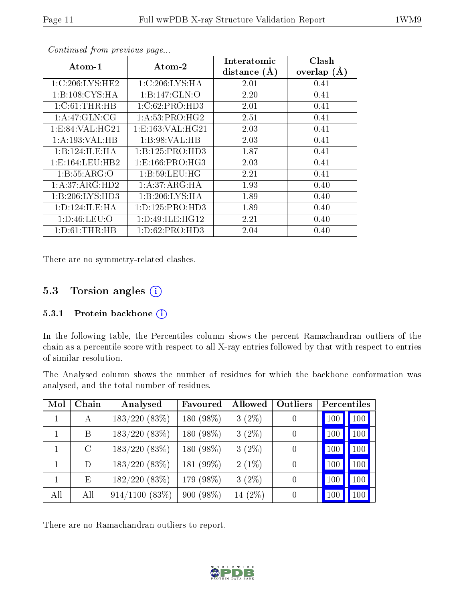| Atom-1              | Atom-2               | Interatomic<br>distance $(A)$ | Clash<br>overlap $(A)$ |
|---------------------|----------------------|-------------------------------|------------------------|
| 1:C:206:LYS:HE2     | 1:C:206:LYS:HA       | 2.01                          | 0.41                   |
| 1:B:108:CYS:HA      | 1:B:147:GLN:O        | 2.20                          | 0.41                   |
| 1:C:61:THR:HB       | 1:C:62:PRO:HD3       | 2.01                          | 0.41                   |
| 1: A:47: GLN:CG     | 1: A:53: PRO:HG2     | 2.51                          | 0.41                   |
| 1: E: 84: VAL:HG21  | 1: E: 163: VAL: HG21 | 2.03                          | 0.41                   |
| 1:A:193:VAL:HB      | 1:B:98:VAL:HB        | 2.03                          | 0.41                   |
| 1:B:124:ILE:HA      | 1:B:125:PRO:HD3      | 1.87                          | 0.41                   |
| 1: E: 164: LEU: HB2 | 1: E: 166: PRO:HG3   | 2.03                          | 0.41                   |
| 1:B:55:ARG:O        | 1: B:59: LEU:HG      | 2.21                          | 0.41                   |
| 1:A:37:ARG:HD2      | 1:A:37:ARG:HA        | 1.93                          | 0.40                   |
| 1:B:206:LYS:HD3     | 1:B:206:LYS:HA       | 1.89                          | 0.40                   |
| 1: D: 124: ILE: HA  | 1: D: 125: PRO: HD3  | 1.89                          | 0.40                   |
| 1: D:46: LEU:O      | 1: D:49: ILE: HG12   | 2.21                          | 0.40                   |
| 1: D:61:THR:HB      | 1: D:62: PRO:HD3     | 2.04                          | 0.40                   |

Continued from previous page...

There are no symmetry-related clashes.

### 5.3 Torsion angles (i)

#### 5.3.1 Protein backbone  $(i)$

In the following table, the Percentiles column shows the percent Ramachandran outliers of the chain as a percentile score with respect to all X-ray entries followed by that with respect to entries of similar resolution.

The Analysed column shows the number of residues for which the backbone conformation was analysed, and the total number of residues.

| Mol | Chain         | Analysed            | Favoured  | Allowed    | Outliers       | Percentiles |                  |
|-----|---------------|---------------------|-----------|------------|----------------|-------------|------------------|
|     | А             | $183/220(83\%)$     | 180 (98%) | $3(2\%)$   |                | 100         | 100              |
|     | B             | $183/220(83\%)$     | 180 (98%) | $3(2\%)$   | $\overline{0}$ | 100         | 100 <sub>1</sub> |
|     | $\mathcal{C}$ | $183/220(83\%)$     | 180 (98%) | $3(2\%)$   | $\overline{0}$ | 100         | 100              |
|     | D             | $183/220(83\%)$     | 181 (99%) | $2(1\%)$   | 0              | 100         | 100              |
|     | E             | 182/220(83%)        | 179 (98%) | $3(2\%)$   | 0              | 100         | 100              |
| All | All           | $914/1100$ $(83\%)$ | 900 (98%) | 14 $(2\%)$ | 0              |             | 100 <sub>1</sub> |

There are no Ramachandran outliers to report.

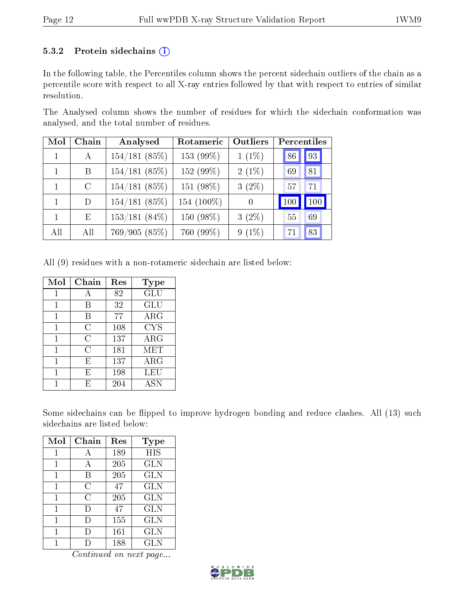#### 5.3.2 Protein sidechains  $(i)$

In the following table, the Percentiles column shows the percent sidechain outliers of the chain as a percentile score with respect to all X-ray entries followed by that with respect to entries of similar resolution.

The Analysed column shows the number of residues for which the sidechain conformation was analysed, and the total number of residues.

| Mol            | Chain   | Analysed        | Rotameric  | Outliers | Percentiles |
|----------------|---------|-----------------|------------|----------|-------------|
| $\blacksquare$ | A       | 154/181(85%)    | 153 (99%)  | $1(1\%)$ | 93<br>86    |
| $\mathbf{1}$   | B       | 154/181(85%)    | 152 (99%)  | $2(1\%)$ | 81<br>69    |
|                | $\rm C$ | 154/181(85%)    | 151 (98%)  | $3(2\%)$ | 57<br>71    |
| $\mathbf{1}$   | D       | 154/181(85%)    | 154 (100%) | $\theta$ | 100<br>100  |
| $\mathbf{1}$   | E       | $153/181(84\%)$ | 150 (98%)  | $3(2\%)$ | 55<br>69    |
| All            | All     | 769/905 (85%)   | 760 (99%)  | $9(1\%)$ | 83<br>71    |

All (9) residues with a non-rotameric sidechain are listed below:

| Mol | Chain | Res | Type       |
|-----|-------|-----|------------|
|     | А     | 82  | GLU        |
|     | В     | 32  | GLU        |
| 1   | B     | 77  | $\rm{ARG}$ |
| 1   | С     | 108 | <b>CYS</b> |
|     | С     | 137 | $\rm{ARG}$ |
|     | С     | 181 | <b>MET</b> |
| 1   | Е     | 137 | $\rm{ARG}$ |
|     | E     | 198 | LEU        |
|     | E     | 204 | ASN        |

Some sidechains can be flipped to improve hydrogen bonding and reduce clashes. All (13) such sidechains are listed below:

| Mol | Chain  | Res | <b>Type</b> |
|-----|--------|-----|-------------|
|     |        | 189 | HIS         |
| 1   | A      | 205 | GLN         |
| 1   | В      | 205 | <b>GLN</b>  |
| 1   | C      | 47  | <b>GLN</b>  |
| 1   | С      | 205 | <b>GLN</b>  |
| 1   | $\Box$ | 47  | <b>GLN</b>  |
| 1   | Ð      | 155 | <b>GLN</b>  |
| 1   | D      | 161 | <b>GLN</b>  |
|     |        | 188 | <b>GLN</b>  |

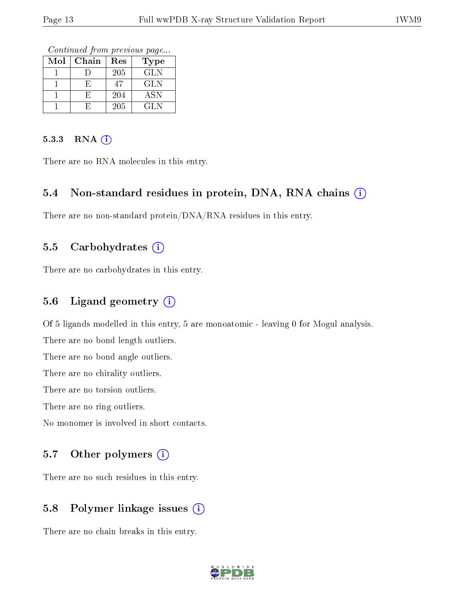Continued from previous page...

| Mol | Chain | Res | Type       |
|-----|-------|-----|------------|
|     |       | 205 | <b>GLN</b> |
|     |       |     | <b>GLN</b> |
|     |       | 204 | ASN        |
|     |       | 205 | GLN        |

#### 5.3.3 RNA (i)

There are no RNA molecules in this entry.

#### 5.4 Non-standard residues in protein, DNA, RNA chains  $(i)$

There are no non-standard protein/DNA/RNA residues in this entry.

#### 5.5 Carbohydrates  $(i)$

There are no carbohydrates in this entry.

#### 5.6 Ligand geometry  $(i)$

Of 5 ligands modelled in this entry, 5 are monoatomic - leaving 0 for Mogul analysis.

There are no bond length outliers.

There are no bond angle outliers.

There are no chirality outliers.

There are no torsion outliers.

There are no ring outliers.

No monomer is involved in short contacts.

#### 5.7 [O](https://www.wwpdb.org/validation/2017/XrayValidationReportHelp#nonstandard_residues_and_ligands)ther polymers (i)

There are no such residues in this entry.

### 5.8 Polymer linkage issues (i)

There are no chain breaks in this entry.

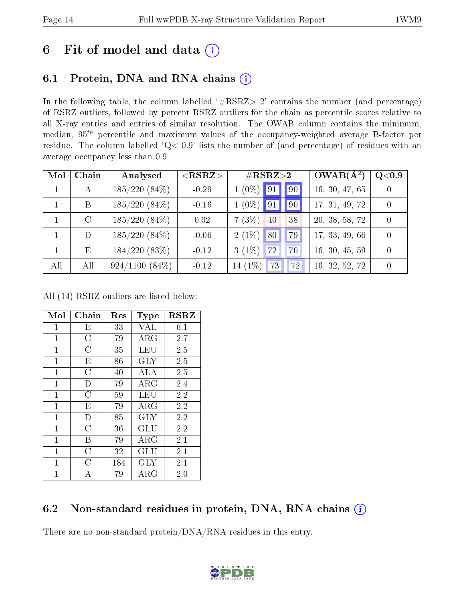# 6 Fit of model and data  $(i)$

# 6.1 Protein, DNA and RNA chains  $(i)$

In the following table, the column labelled  $#RSRZ> 2'$  contains the number (and percentage) of RSRZ outliers, followed by percent RSRZ outliers for the chain as percentile scores relative to all X-ray entries and entries of similar resolution. The OWAB column contains the minimum, median,  $95<sup>th</sup>$  percentile and maximum values of the occupancy-weighted average B-factor per residue. The column labelled ' $Q< 0.9$ ' lists the number of (and percentage) of residues with an average occupancy less than 0.9.

| Mol | Chain         | Analysed         | $<$ RSRZ $>$ | $\#\text{RSRZ}{>}2$        | $OWAB(A^2)$    | Q <sub>0.9</sub> |
|-----|---------------|------------------|--------------|----------------------------|----------------|------------------|
|     |               | $185/220(84\%)$  | $-0.29$      | $1(0\%)$ 91 9              | 16, 30, 47, 65 |                  |
|     | B             | $185/220(84\%)$  | $-0.16$      | $1(0\%)$ 91<br>90          | 17, 31, 49, 72 |                  |
|     | $\mathcal{C}$ | $185/220(84\%)$  | 0.02         | 7(3%)<br>40<br>38          | 20, 38, 58, 72 |                  |
|     | D             | $185/220(84\%)$  | $-0.06$      | $2(1\%)$ 80<br>$'$ 79 $_1$ | 17, 33, 49, 66 |                  |
|     | Ε             | 184/220(83%)     | $-0.12$      | $3(1\%)$<br>72<br>70       | 16, 30, 45, 59 |                  |
| All | All           | $924/1100(84\%)$ | $-0.12$      | $14(1\%)$<br>73<br>72      | 16, 32, 52, 72 |                  |

All (14) RSRZ outliers are listed below:

| Mol            | Chain          | Res | Type        | <b>RSRZ</b> |
|----------------|----------------|-----|-------------|-------------|
| $\mathbf{1}$   | E              | 33  | VAL         | 6.1         |
| 1              | $\overline{C}$ | 79  | ARG         | 2.7         |
| $\mathbf{1}$   | C              | 35  | LEU         | 2.5         |
| $\mathbf{1}$   | E              | 86  | <b>GLY</b>  | 2.5         |
| $\mathbf{1}$   | $\overline{C}$ | 40  | ALA         | 2.5         |
| $\overline{1}$ | D              | 79  | $\rm{ARG}$  | 2.4         |
| $\mathbf{1}$   | $\overline{C}$ | 59  | LEU         | 2.2         |
| $\overline{1}$ | E              | 79  | ARG         | 2.2         |
| $\mathbf{1}$   | D              | 85  | <b>GLY</b>  | 2.2         |
| $\overline{1}$ | $\overline{C}$ | 36  | GLU         | 2.2         |
| $\mathbf{1}$   | В              | 79  | $\rm{ARG}$  | 2.1         |
| $\overline{1}$ | $\overline{C}$ | 32  | GLU         | 2.1         |
| $\overline{1}$ | C              | 184 | GLY         | 2.1         |
| 1              | А              | 79  | ${\rm ARG}$ | 2.0         |

### 6.2 Non-standard residues in protein, DNA, RNA chains (i)

There are no non-standard protein/DNA/RNA residues in this entry.